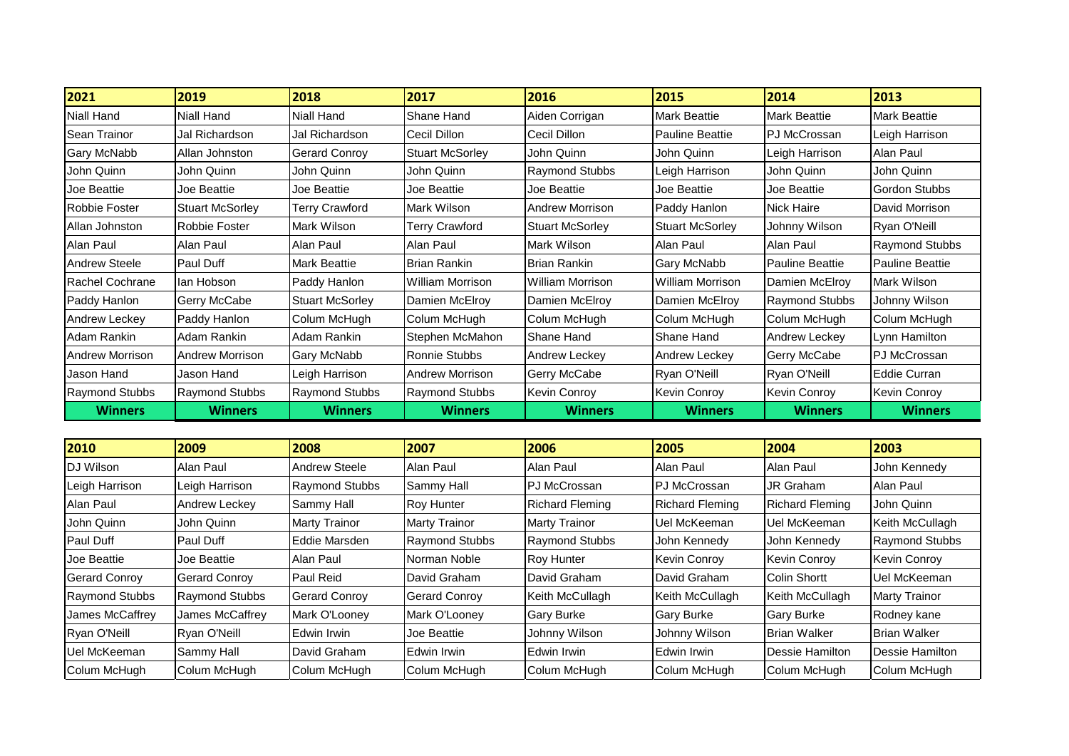| 2021                   | 2019                   | 2018                   | 2017                    | 2016                   | 2015                   | 2014                   | 2013                   |
|------------------------|------------------------|------------------------|-------------------------|------------------------|------------------------|------------------------|------------------------|
| Niall Hand             | Niall Hand             | Niall Hand             | Shane Hand              | Aiden Corrigan         | Mark Beattie           | <b>Mark Beattie</b>    | <b>Mark Beattie</b>    |
| <b>Sean Trainor</b>    | Jal Richardson         | Jal Richardson         | Cecil Dillon            | Cecil Dillon           | <b>Pauline Beattie</b> | PJ McCrossan           | Leigh Harrison         |
| <b>Gary McNabb</b>     | Allan Johnston         | <b>Gerard Conroy</b>   | <b>Stuart McSorley</b>  | John Quinn             | John Quinn             | Leigh Harrison         | Alan Paul              |
| John Quinn             | John Quinn             | John Quinn             | John Quinn              | Raymond Stubbs         | Leigh Harrison         | John Quinn             | John Quinn             |
| Joe Beattie            | Joe Beattie            | Joe Beattie            | Joe Beattie             | Joe Beattie            | Joe Beattie            | Joe Beattie            | Gordon Stubbs          |
| <b>Robbie Foster</b>   | <b>Stuart McSorley</b> | <b>Terry Crawford</b>  | Mark Wilson             | <b>Andrew Morrison</b> | Paddy Hanlon           | <b>Nick Haire</b>      | David Morrison         |
| Allan Johnston         | Robbie Foster          | Mark Wilson            | <b>Terry Crawford</b>   | <b>Stuart McSorley</b> | <b>Stuart McSorley</b> | Johnny Wilson          | Ryan O'Neill           |
| Alan Paul              | Alan Paul              | Alan Paul              | Alan Paul               | Mark Wilson            | Alan Paul              | Alan Paul              | <b>Raymond Stubbs</b>  |
| <b>Andrew Steele</b>   | <b>Paul Duff</b>       | <b>Mark Beattie</b>    | <b>Brian Rankin</b>     | Brian Rankin           | <b>Gary McNabb</b>     | <b>Pauline Beattie</b> | <b>Pauline Beattie</b> |
| Rachel Cochrane        | lan Hobson             | Paddy Hanlon           | <b>William Morrison</b> | William Morrison       | William Morrison       | Damien McElroy         | Mark Wilson            |
| Paddy Hanlon           | Gerry McCabe           | <b>Stuart McSorley</b> | Damien McElroy          | Damien McElroy         | Damien McElroy         | <b>Raymond Stubbs</b>  | Johnny Wilson          |
| Andrew Leckey          | Paddy Hanlon           | Colum McHugh           | Colum McHugh            | Colum McHugh           | Colum McHugh           | Colum McHugh           | Colum McHugh           |
| Adam Rankin            | Adam Rankin            | Adam Rankin            | Stephen McMahon         | Shane Hand             | Shane Hand             | Andrew Leckey          | Lynn Hamilton          |
| <b>Andrew Morrison</b> | <b>Andrew Morrison</b> | Gary McNabb            | Ronnie Stubbs           | Andrew Leckey          | Andrew Leckey          | <b>Gerry McCabe</b>    | <b>PJ McCrossan</b>    |
| Jason Hand             | Jason Hand             | Leigh Harrison         | <b>Andrew Morrison</b>  | Gerry McCabe           | Ryan O'Neill           | Ryan O'Neill           | Eddie Curran           |
| <b>Raymond Stubbs</b>  | <b>Raymond Stubbs</b>  | <b>Raymond Stubbs</b>  | <b>Raymond Stubbs</b>   | Kevin Conroy           | <b>Kevin Conroy</b>    | Kevin Conroy           | Kevin Conroy           |
| <b>Winners</b>         | <b>Winners</b>         | <b>Winners</b>         | <b>Winners</b>          | <b>Winners</b>         | <b>Winners</b>         | <b>Winners</b>         | <b>Winners</b>         |

| 2010                  | 2009                  | 2008                  | 2007                  | 2006                   | 2005                   | 2004                   | 2003                  |
|-----------------------|-----------------------|-----------------------|-----------------------|------------------------|------------------------|------------------------|-----------------------|
| DJ Wilson             | Alan Paul             | Andrew Steele         | Alan Paul             | Alan Paul              | Alan Paul              | Alan Paul              | John Kennedy          |
| Leigh Harrison        | Leigh Harrison        | <b>Raymond Stubbs</b> | Sammy Hall            | <b>PJ McCrossan</b>    | <b>PJ McCrossan</b>    | <b>JR Graham</b>       | Alan Paul             |
| Alan Paul             | Andrew Leckey         | Sammy Hall            | <b>Roy Hunter</b>     | <b>Richard Fleming</b> | <b>Richard Fleming</b> | <b>Richard Fleming</b> | John Quinn            |
| John Quinn            | John Quinn            | <b>Marty Trainor</b>  | <b>Marty Trainor</b>  | <b>Marty Trainor</b>   | Uel McKeeman           | Uel McKeeman           | Keith McCullagh       |
| <b>Paul Duff</b>      | Paul Duff             | Eddie Marsden         | <b>Raymond Stubbs</b> | <b>Raymond Stubbs</b>  | John Kennedy           | John Kennedy           | <b>Raymond Stubbs</b> |
| Joe Beattie           | Joe Beattie           | Alan Paul             | Norman Noble          | <b>Roy Hunter</b>      | <b>Kevin Conroy</b>    | <b>Kevin Conroy</b>    | <b>Kevin Conroy</b>   |
| <b>Gerard Conroy</b>  | Gerard Conroy         | <b>Paul Reid</b>      | David Graham          | David Graham           | David Graham           | <b>Colin Shortt</b>    | Uel McKeeman          |
| <b>Raymond Stubbs</b> | <b>Raymond Stubbs</b> | <b>Gerard Conroy</b>  | <b>Gerard Conroy</b>  | Keith McCullagh        | Keith McCullagh        | Keith McCullagh        | <b>Marty Trainor</b>  |
| James McCaffrey       | James McCaffrey       | Mark O'Looney         | Mark O'Looney         | <b>Gary Burke</b>      | <b>Gary Burke</b>      | <b>Gary Burke</b>      | Rodney kane           |
| Ryan O'Neill          | Ryan O'Neill          | Edwin Irwin           | Joe Beattie           | Johnny Wilson          | Johnny Wilson          | <b>Brian Walker</b>    | <b>IBrian Walker</b>  |
| Uel McKeeman          | Sammy Hall            | David Graham          | Edwin Irwin           | Edwin Irwin            | Edwin Irwin            | Dessie Hamilton        | Dessie Hamilton       |
| Colum McHugh          | Colum McHugh          | Colum McHugh          | Colum McHugh          | Colum McHugh           | Colum McHugh           | Colum McHugh           | Colum McHugh          |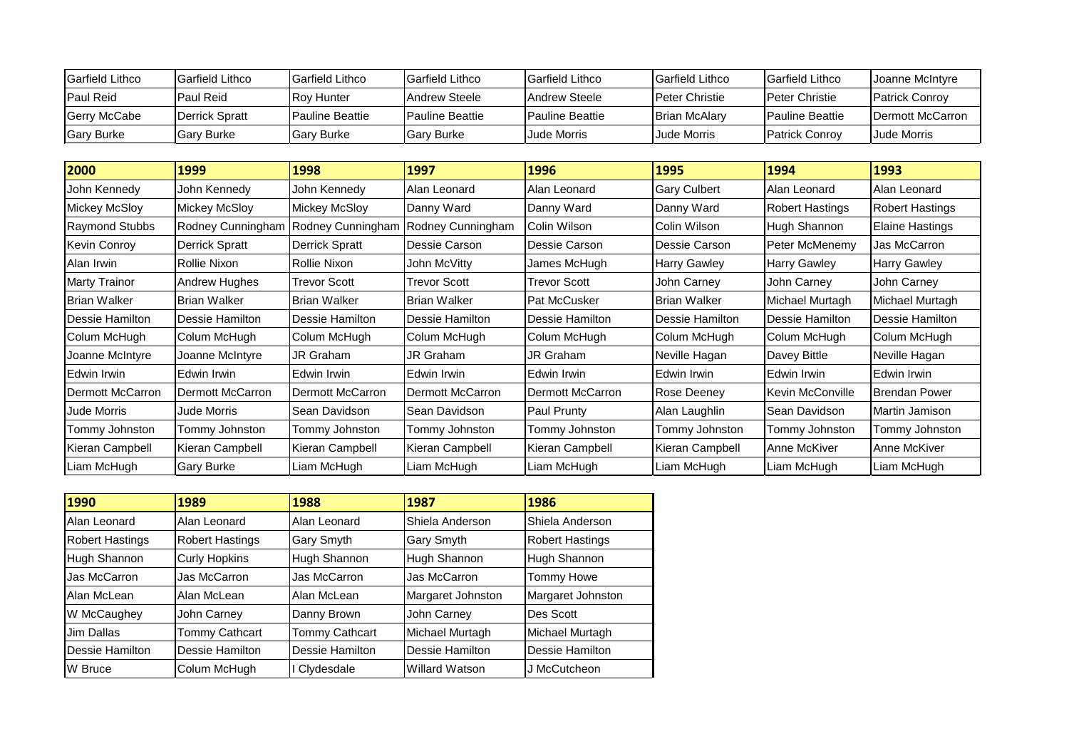| <b>Garfield Lithco</b> | <b>IGarfield Lithco</b> | Garfield Lithco         | <b>IGarfield Lithco</b> | <b>IGarfield Lithco</b> | <b>IGarfield Lithco</b> | <b>IGarfield Lithco</b> | <b>IJoanne McIntvre</b>  |
|------------------------|-------------------------|-------------------------|-------------------------|-------------------------|-------------------------|-------------------------|--------------------------|
| <b>Paul Reid</b>       | Paul Reid               | <b>Roy Hunter</b>       | <b>IAndrew Steele</b>   | <b>IAndrew Steele</b>   | <b>IPeter Christie</b>  | <b>Peter Christie</b>   | <b>IPatrick Conrov</b>   |
| <b>Gerry McCabe</b>    | Derrick Spratt          | <b>IPauline Beattie</b> | <b>IPauline Beattie</b> | <b>IPauline Beattie</b> | Brian McAlary           | <b>IPauline Beattie</b> | <b>IDermott McCarron</b> |
| <b>Gary Burke</b>      | <b>Gary Burke</b>       | <b>Gary Burke</b>       | <b>I</b> Gary Burke     | Jude Morris             | Jude Morris             | <b>Patrick Conrov</b>   | <b>Jude Morris</b>       |

| 2000                  | 1999                 | 1998                  | 1997                     | 1996                    | 1995                | 1994                   | 1993                   |
|-----------------------|----------------------|-----------------------|--------------------------|-------------------------|---------------------|------------------------|------------------------|
| John Kennedy          | John Kennedy         | John Kennedy          | Alan Leonard             | Alan Leonard            | <b>Gary Culbert</b> | Alan Leonard           | Alan Leonard           |
| <b>Mickey McSloy</b>  | <b>Mickey McSloy</b> | <b>Mickey McSloy</b>  | Danny Ward               | Danny Ward              | Danny Ward          | <b>Robert Hastings</b> | Robert Hastings        |
| <b>Raymond Stubbs</b> | Rodney Cunningham    | Rodney Cunningham     | Rodney Cunningham        | Colin Wilson            | Colin Wilson        | Hugh Shannon           | <b>Elaine Hastings</b> |
| <b>Kevin Conroy</b>   | Derrick Spratt       | <b>Derrick Spratt</b> | Dessie Carson            | Dessie Carson           | Dessie Carson       | Peter McMenemy         | Jas McCarron           |
| Alan Irwin            | Rollie Nixon         | Rollie Nixon          | John McVitty             | James McHugh            | <b>Harry Gawley</b> | <b>Harry Gawley</b>    | <b>Harry Gawley</b>    |
| <b>Marty Trainor</b>  | Andrew Hughes        | <b>Trevor Scott</b>   | Trevor Scott             | <b>Trevor Scott</b>     | John Carney         | John Carney            | John Carney            |
| <b>Brian Walker</b>   | <b>Brian Walker</b>  | <b>Brian Walker</b>   | <b>Brian Walker</b>      | Pat McCusker            | Brian Walker        | Michael Murtagh        | Michael Murtagh        |
| Dessie Hamilton       | Dessie Hamilton      | Dessie Hamilton       | <b>I</b> Dessie Hamilton | Dessie Hamilton         | Dessie Hamilton     | Dessie Hamilton        | Dessie Hamilton        |
| Colum McHugh          | Colum McHugh         | Colum McHugh          | Colum McHugh             | Colum McHugh            | Colum McHugh        | Colum McHugh           | Colum McHugh           |
| Joanne McIntyre       | Joanne McIntyre      | <b>JR Graham</b>      | JR Graham                | JR Graham               | Neville Hagan       | Davey Bittle           | Neville Hagan          |
| Edwin Irwin           | Edwin Irwin          | Edwin Irwin           | Edwin Irwin              | Edwin Irwin             | Edwin Irwin         | Edwin Irwin            | Edwin Irwin            |
| Dermott McCarron      | Dermott McCarron     | Dermott McCarron      | Dermott McCarron         | <b>Dermott McCarron</b> | <b>Rose Deeney</b>  | Kevin McConville       | Brendan Power          |
| <b>Jude Morris</b>    | Jude Morris          | Sean Davidson         | <b>Sean Davidson</b>     | Paul Prunty             | Alan Laughlin       | Sean Davidson          | Martin Jamison         |
| Tommy Johnston        | Tommy Johnston       | Tommy Johnston        | Tommy Johnston           | Tommy Johnston          | Tommy Johnston      | Tommy Johnston         | Tommy Johnston         |
| Kieran Campbell       | Kieran Campbell      | Kieran Campbell       | Kieran Campbell          | Kieran Campbell         | Kieran Campbell     | Anne McKiver           | Anne McKiver           |
| Liam McHugh           | <b>Gary Burke</b>    | Liam McHugh           | Liam McHugh              | Liam McHugh             | Liam McHugh         | Liam McHugh            | Liam McHugh            |

| 1990                   | 1989                   | 1988                  | 1987                  | 1986                   |
|------------------------|------------------------|-----------------------|-----------------------|------------------------|
| Alan Leonard           | Alan Leonard           | Alan Leonard          | Shiela Anderson       | Shiela Anderson        |
| <b>Robert Hastings</b> | <b>Robert Hastings</b> | Gary Smyth            | Gary Smyth            | <b>Robert Hastings</b> |
| Hugh Shannon           | <b>Curly Hopkins</b>   | Hugh Shannon          | Hugh Shannon          | Hugh Shannon           |
| Jas McCarron           | Jas McCarron           | Jas McCarron          | Jas McCarron          | <b>Tommy Howe</b>      |
| Alan McLean            | Alan McLean            | Alan McLean           | Margaret Johnston     | Margaret Johnston      |
| W McCaughey            | John Carney            | Danny Brown           | John Carney           | Des Scott              |
| Jim Dallas             | Tommy Cathcart         | <b>Tommy Cathcart</b> | Michael Murtagh       | Michael Murtagh        |
| Dessie Hamilton        | Dessie Hamilton        | Dessie Hamilton       | Dessie Hamilton       | Dessie Hamilton        |
| W Bruce                | Colum McHugh           | I Clydesdale          | <b>Willard Watson</b> | J McCutcheon           |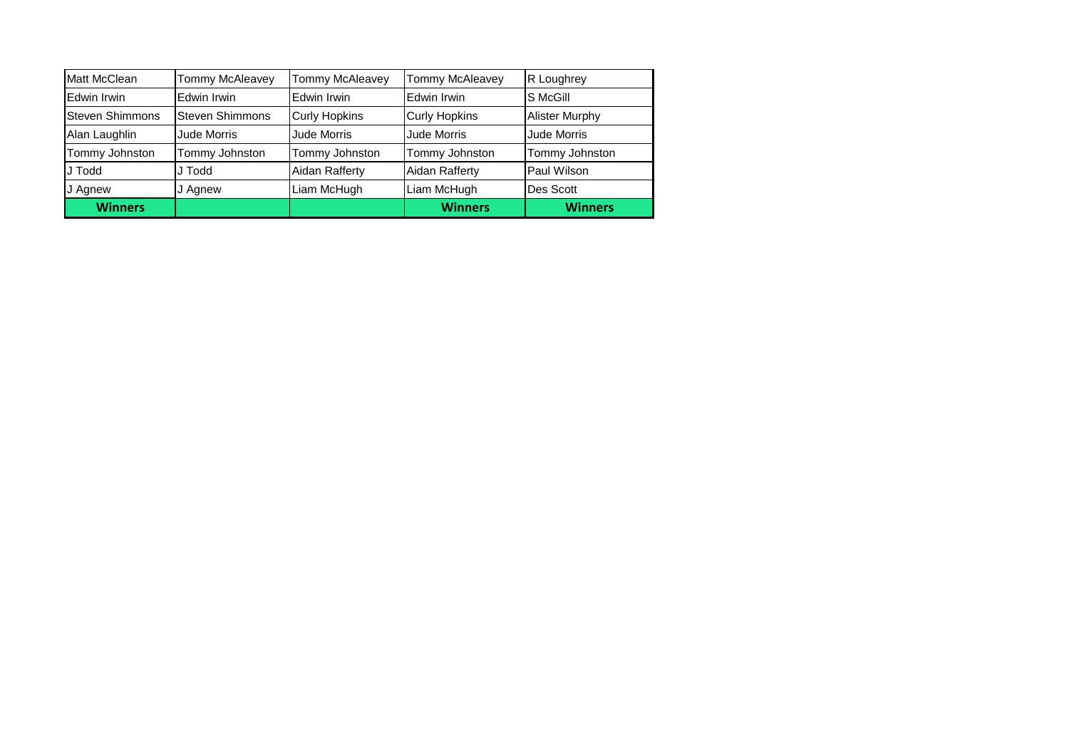| Matt McClean    | Tommy McAleavey        | Tommy McAleavey      | Tommy McAleavey      | R Loughrey            |
|-----------------|------------------------|----------------------|----------------------|-----------------------|
| Edwin Irwin     | Edwin Irwin            | Edwin Irwin          | Edwin Irwin          | S McGill              |
| Steven Shimmons | <b>Steven Shimmons</b> | <b>Curly Hopkins</b> | <b>Curly Hopkins</b> | <b>Alister Murphy</b> |
| Alan Laughlin   | Jude Morris            | Jude Morris          | Jude Morris          | Jude Morris           |
| Tommy Johnston  | Tommy Johnston         | Tommy Johnston       | Tommy Johnston       | Tommy Johnston        |
| <b>JJ</b> Todd  | J Todd                 | Aidan Rafferty       | Aidan Rafferty       | Paul Wilson           |
| J Agnew         | J Agnew                | Liam McHugh          | Liam McHugh          | Des Scott             |
| <b>Winners</b>  |                        |                      | <b>Winners</b>       | <b>Winners</b>        |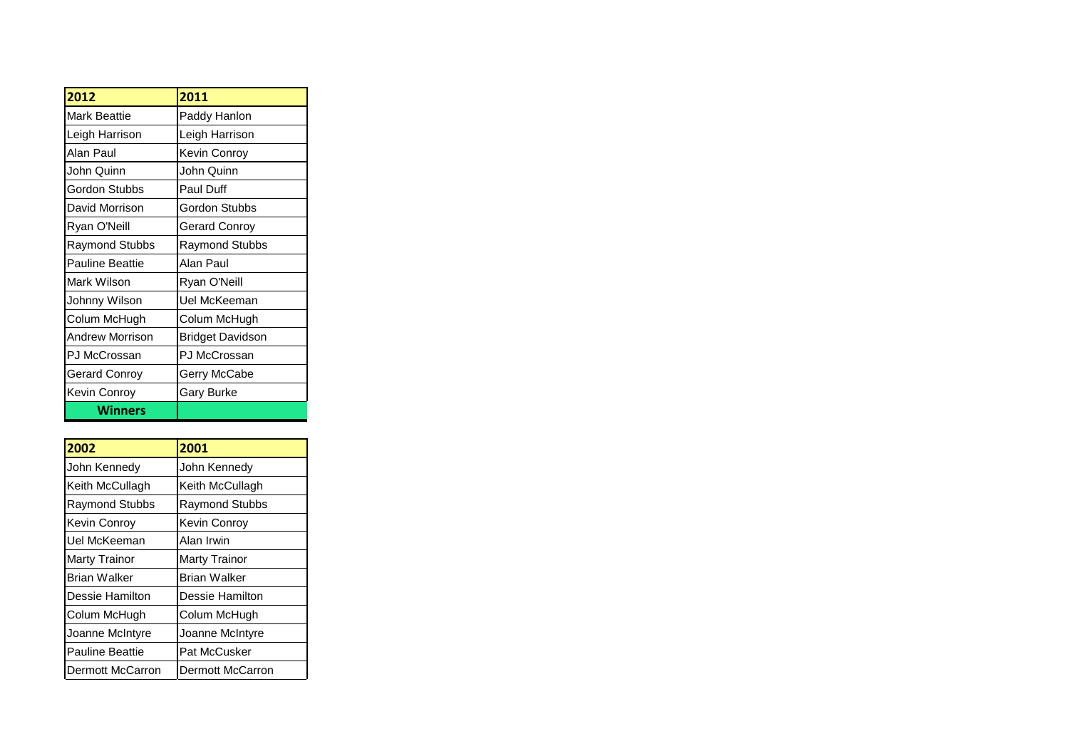| 2012                   | 2011                  |
|------------------------|-----------------------|
| <b>Mark Beattie</b>    | Paddy Hanlon          |
| Leigh Harrison         | Leigh Harrison        |
| Alan Paul              | Kevin Conroy          |
| John Quinn             | John Quinn            |
| Gordon Stubbs          | Paul Duff             |
| David Morrison         | <b>Gordon Stubbs</b>  |
| Ryan O'Neill           | Gerard Conroy         |
| Raymond Stubbs         | <b>Raymond Stubbs</b> |
| <b>Pauline Beattie</b> | Alan Paul             |
| Mark Wilson            | Ryan O'Neill          |
| Johnny Wilson          | Uel McKeeman          |
| Colum McHugh           | Colum McHugh          |
| <b>Andrew Morrison</b> | Bridget Davidson      |
| PJ McCrossan           | PJ McCrossan          |
| Gerard Conroy          | Gerry McCabe          |
| Kevin Conroy           | <b>Gary Burke</b>     |
| Winners                |                       |

| 2002                   | 2001                  |
|------------------------|-----------------------|
| John Kennedy           | John Kennedy          |
| Keith McCullagh        | Keith McCullagh       |
| <b>Raymond Stubbs</b>  | <b>Raymond Stubbs</b> |
| Kevin Conroy           | Kevin Conrov          |
| Uel McKeeman           | Alan Irwin            |
| Marty Trainor          | Marty Trainor         |
| Brian Walker           | Brian Walker          |
| Dessie Hamilton        | Dessie Hamilton       |
| Colum McHugh           | Colum McHugh          |
| Joanne McIntyre        | Joanne McIntyre       |
| <b>Pauline Beattie</b> | Pat McCusker          |
| Dermott McCarron       | Dermott McCarron      |